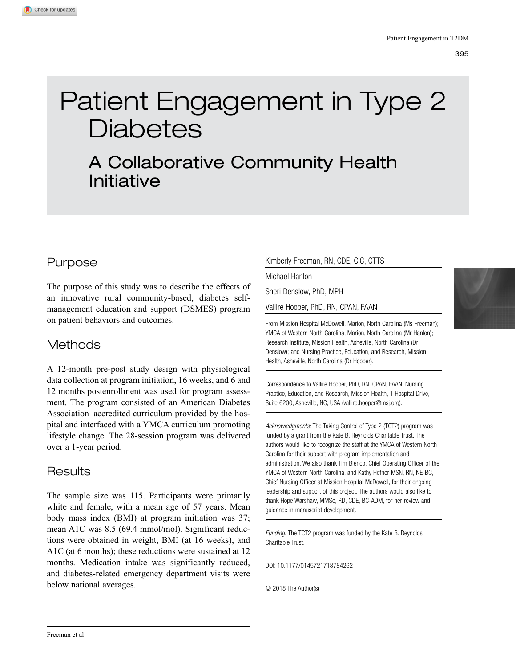# Patient Engagement in Type 2 **Diabetes**

# A Collaborative Community Health Initiative

# Purpose

The purpose of this study was to describe the effects of an innovative rural community-based, diabetes selfmanagement education and support (DSMES) program on patient behaviors and outcomes.

# **Methods**

A 12-month pre-post study design with physiological data collection at program initiation, 16 weeks, and 6 and 12 months postenrollment was used for program assessment. The program consisted of an American Diabetes Association–accredited curriculum provided by the hospital and interfaced with a YMCA curriculum promoting lifestyle change. The 28-session program was delivered over a 1-year period.

# **Results**

The sample size was 115. Participants were primarily white and female, with a mean age of 57 years. Mean body mass index (BMI) at program initiation was 37; mean A1C was 8.5 (69.4 mmol/mol). Significant reductions were obtained in weight, BMI (at 16 weeks), and A1C (at 6 months); these reductions were sustained at 12 months. Medication intake was significantly reduced, and diabetes-related emergency department visits were below national averages.

#### Kimberly Freeman, RN, CDE, CIC, CTTS

Michael Hanlon

Sheri Denslow, PhD, MPH

Vallire Hooper, PhD, RN, CPAN, FAAN

From Mission Hospital McDowell, Marion, North Carolina (Ms Freeman); YMCA of Western North Carolina, Marion, North Carolina (Mr Hanlon); Research Institute, Mission Health, Asheville, North Carolina (Dr Denslow); and Nursing Practice, Education, and Research, Mission Health, Asheville, North Carolina (Dr Hooper).

Correspondence to Vallire Hooper, PhD, RN, CPAN, FAAN, Nursing Practice, Education, and Research, Mission Health, 1 Hospital Drive, Suite 6200, Asheville, NC, USA (vallire.hooper@msj.org).

*Acknowledgments:* The Taking Control of Type 2 (TCT2) program was funded by a grant from the Kate B. Reynolds Charitable Trust. The authors would like to recognize the staff at the YMCA of Western North Carolina for their support with program implementation and administration. We also thank Tim Blenco, Chief Operating Officer of the YMCA of Western North Carolina, and Kathy Hefner MSN, RN, NE-BC, Chief Nursing Officer at Mission Hospital McDowell, for their ongoing leadership and support of this project. The authors would also like to thank Hope Warshaw, MMSc, RD, CDE, BC-ADM, for her review and guidance in manuscript development.

*Funding:* The TCT2 program was funded by the Kate B. Reynolds Charitable Trust.

DOI: 10.1177/0145721718784262

© 2018 The Author(s)

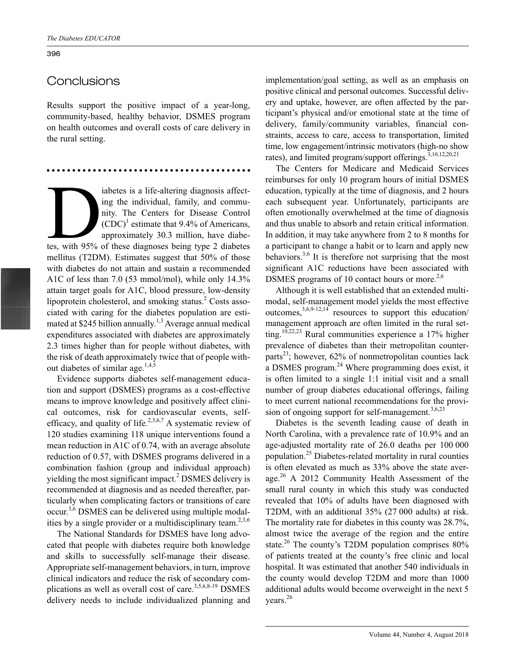## **Conclusions**

Results support the positive impact of a year-long, community-based, healthy behavior, DSMES program on health outcomes and overall costs of care delivery in the rural setting.

iabetes is a life-altering diagnosis affect-<br>ing the individual, family, and commu-<br>nity. The Centers for Disease Control<br>(CDC)<sup>1</sup> estimate that 9.4% of Americans,<br>approximately 30.3 million, have diabe-<br>tes, with 95% of t ing the individual, family, and community. The Centers for Disease Control  $(CDC)^1$  estimate that 9.4% of Americans, approximately 30.3 million, have diabemellitus (T2DM). Estimates suggest that 50% of those with diabetes do not attain and sustain a recommended A1C of less than 7.0 (53 mmol/mol), while only 14.3% attain target goals for A1C, blood pressure, low-density lipoprotein cholesterol, and smoking status.<sup>2</sup> Costs associated with caring for the diabetes population are estimated at \$245 billion annually.<sup>1,3</sup> Average annual medical expenditures associated with diabetes are approximately 2.3 times higher than for people without diabetes, with the risk of death approximately twice that of people without diabetes of similar age. $1,4,5$ 

Evidence supports diabetes self-management education and support (DSMES) programs as a cost-effective means to improve knowledge and positively affect clinical outcomes, risk for cardiovascular events, selfefficacy, and quality of life.<sup>2,3,6,7</sup> A systematic review of 120 studies examining 118 unique interventions found a mean reduction in A1C of 0.74, with an average absolute reduction of 0.57, with DSMES programs delivered in a combination fashion (group and individual approach) yielding the most significant impact.<sup>2</sup> DSMES delivery is recommended at diagnosis and as needed thereafter, particularly when complicating factors or transitions of care occur.<sup>3,6</sup> DSMES can be delivered using multiple modalities by a single provider or a multidisciplinary team.<sup>2,3,6</sup>

The National Standards for DSMES have long advocated that people with diabetes require both knowledge and skills to successfully self-manage their disease. Appropriate self-management behaviors, in turn, improve clinical indicators and reduce the risk of secondary complications as well as overall cost of care.<sup>3,5,6,8-19</sup> DSMES delivery needs to include individualized planning and implementation/goal setting, as well as an emphasis on positive clinical and personal outcomes. Successful delivery and uptake, however, are often affected by the participant's physical and/or emotional state at the time of delivery, family/community variables, financial constraints, access to care, access to transportation, limited time, low engagement/intrinsic motivators (high-no show rates), and limited program/support offerings.<sup>3,10,12,20,21</sup>

The Centers for Medicare and Medicaid Services reimburses for only 10 program hours of initial DSMES education, typically at the time of diagnosis, and 2 hours each subsequent year. Unfortunately, participants are often emotionally overwhelmed at the time of diagnosis and thus unable to absorb and retain critical information. In addition, it may take anywhere from 2 to 8 months for a participant to change a habit or to learn and apply new behaviors.<sup>3,6</sup> It is therefore not surprising that the most significant A1C reductions have been associated with DSMES programs of 10 contact hours or more. $2,6$ 

Although it is well established that an extended multimodal, self-management model yields the most effective outcomes,  $3,6,9-12,14$  resources to support this education/ management approach are often limited in the rural setting.10,22,23 Rural communities experience a 17% higher prevalence of diabetes than their metropolitan counterparts<sup>23</sup>; however, 62% of nonmetropolitan counties lack a DSMES program.24 Where programming does exist, it is often limited to a single 1:1 initial visit and a small number of group diabetes educational offerings, failing to meet current national recommendations for the provision of ongoing support for self-management.<sup>3,6,23</sup>

Diabetes is the seventh leading cause of death in North Carolina, with a prevalence rate of 10.9% and an age-adjusted mortality rate of 26.0 deaths per 100 000 population.25 Diabetes-related mortality in rural counties is often elevated as much as 33% above the state average.<sup>26</sup> A 2012 Community Health Assessment of the small rural county in which this study was conducted revealed that 10% of adults have been diagnosed with T2DM, with an additional 35% (27 000 adults) at risk. The mortality rate for diabetes in this county was 28.7%, almost twice the average of the region and the entire state.<sup>26</sup> The county's T2DM population comprises 80% of patients treated at the county's free clinic and local hospital. It was estimated that another 540 individuals in the county would develop T2DM and more than 1000 additional adults would become overweight in the next 5 years.<sup>26</sup>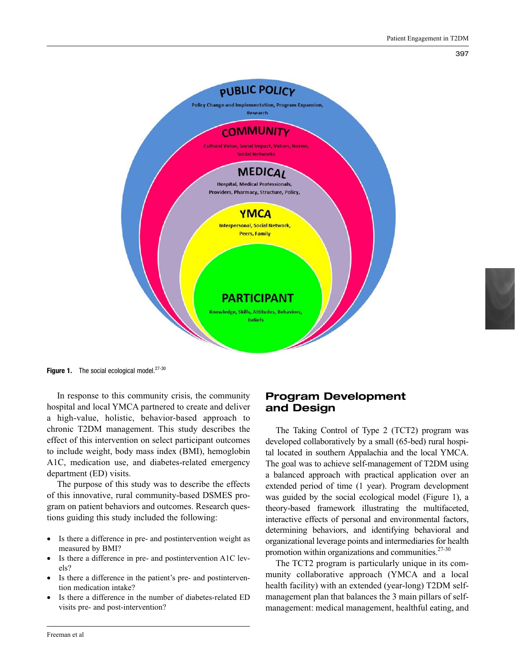

Figure 1. The social ecological model. $27-30$ 

In response to this community crisis, the community hospital and local YMCA partnered to create and deliver a high-value, holistic, behavior-based approach to chronic T2DM management. This study describes the effect of this intervention on select participant outcomes to include weight, body mass index (BMI), hemoglobin A1C, medication use, and diabetes-related emergency department (ED) visits.

The purpose of this study was to describe the effects of this innovative, rural community-based DSMES program on patient behaviors and outcomes. Research questions guiding this study included the following:

- Is there a difference in pre- and postintervention weight as measured by BMI?
- Is there a difference in pre- and postintervention A1C levels?
- Is there a difference in the patient's pre- and postintervention medication intake?
- Is there a difference in the number of diabetes-related ED visits pre- and post-intervention?

# Program Development and Design

The Taking Control of Type 2 (TCT2) program was developed collaboratively by a small (65-bed) rural hospital located in southern Appalachia and the local YMCA. The goal was to achieve self-management of T2DM using a balanced approach with practical application over an extended period of time (1 year). Program development was guided by the social ecological model (Figure 1), a theory-based framework illustrating the multifaceted, interactive effects of personal and environmental factors, determining behaviors, and identifying behavioral and organizational leverage points and intermediaries for health promotion within organizations and communities. $27-30$ 

The TCT2 program is particularly unique in its community collaborative approach (YMCA and a local health facility) with an extended (year-long) T2DM selfmanagement plan that balances the 3 main pillars of selfmanagement: medical management, healthful eating, and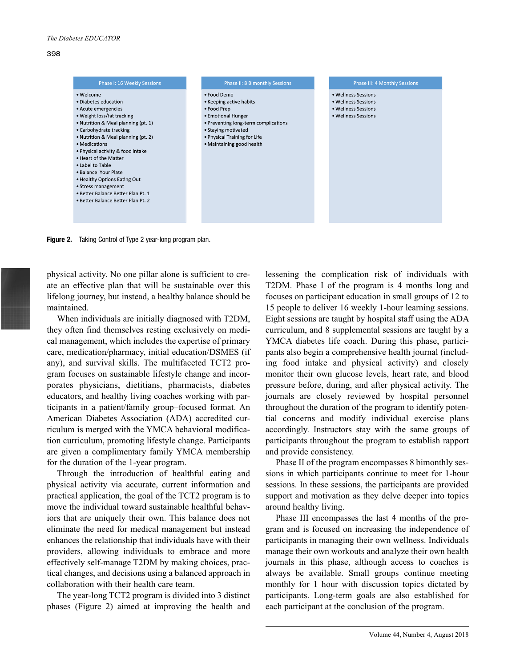

Figure 2. Taking Control of Type 2 year-long program plan.

physical activity. No one pillar alone is sufficient to create an effective plan that will be sustainable over this lifelong journey, but instead, a healthy balance should be maintained.

When individuals are initially diagnosed with T2DM, they often find themselves resting exclusively on medical management, which includes the expertise of primary care, medication/pharmacy, initial education/DSMES (if any), and survival skills. The multifaceted TCT2 program focuses on sustainable lifestyle change and incorporates physicians, dietitians, pharmacists, diabetes educators, and healthy living coaches working with participants in a patient/family group–focused format. An American Diabetes Association (ADA) accredited curriculum is merged with the YMCA behavioral modification curriculum, promoting lifestyle change. Participants are given a complimentary family YMCA membership for the duration of the 1-year program.

Through the introduction of healthful eating and physical activity via accurate, current information and practical application, the goal of the TCT2 program is to move the individual toward sustainable healthful behaviors that are uniquely their own. This balance does not eliminate the need for medical management but instead enhances the relationship that individuals have with their providers, allowing individuals to embrace and more effectively self-manage T2DM by making choices, practical changes, and decisions using a balanced approach in collaboration with their health care team.

The year-long TCT2 program is divided into 3 distinct phases (Figure 2) aimed at improving the health and lessening the complication risk of individuals with T2DM. Phase I of the program is 4 months long and focuses on participant education in small groups of 12 to 15 people to deliver 16 weekly 1-hour learning sessions. Eight sessions are taught by hospital staff using the ADA curriculum, and 8 supplemental sessions are taught by a YMCA diabetes life coach. During this phase, participants also begin a comprehensive health journal (including food intake and physical activity) and closely monitor their own glucose levels, heart rate, and blood pressure before, during, and after physical activity. The journals are closely reviewed by hospital personnel throughout the duration of the program to identify potential concerns and modify individual exercise plans accordingly. Instructors stay with the same groups of participants throughout the program to establish rapport and provide consistency.

Phase II of the program encompasses 8 bimonthly sessions in which participants continue to meet for 1-hour sessions. In these sessions, the participants are provided support and motivation as they delve deeper into topics around healthy living.

Phase III encompasses the last 4 months of the program and is focused on increasing the independence of participants in managing their own wellness. Individuals manage their own workouts and analyze their own health journals in this phase, although access to coaches is always be available. Small groups continue meeting monthly for 1 hour with discussion topics dictated by participants. Long-term goals are also established for each participant at the conclusion of the program.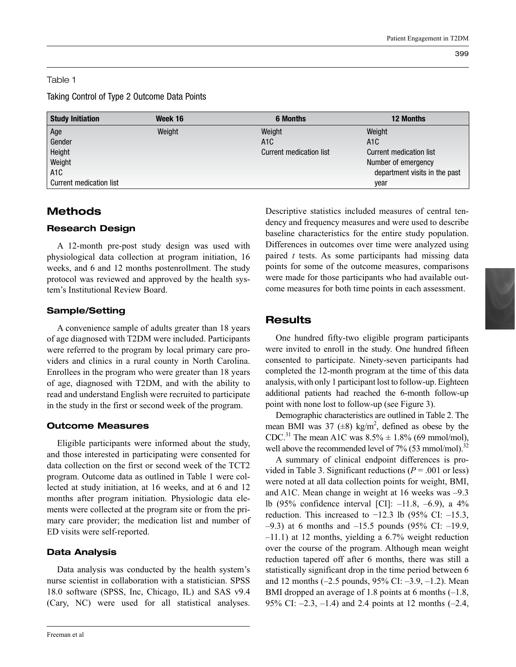#### Table 1

Taking Control of Type 2 Outcome Data Points

| <b>Study Initiation</b> | Week 16 | <b>6 Months</b>         | <b>12 Months</b>              |  |  |
|-------------------------|---------|-------------------------|-------------------------------|--|--|
| Age                     | Weight  | Weight                  | Weight                        |  |  |
| Gender                  |         | A <sub>1</sub> C        | A <sub>1</sub> C              |  |  |
| Height                  |         | Current medication list | Current medication list       |  |  |
| Weight                  |         |                         | Number of emergency           |  |  |
| A1C                     |         |                         | department visits in the past |  |  |
| Current medication list |         |                         | vear                          |  |  |

# Methods

### Research Design

A 12-month pre-post study design was used with physiological data collection at program initiation, 16 weeks, and 6 and 12 months postenrollment. The study protocol was reviewed and approved by the health system's Institutional Review Board.

# Sample/Setting

A convenience sample of adults greater than 18 years of age diagnosed with T2DM were included. Participants were referred to the program by local primary care providers and clinics in a rural county in North Carolina. Enrollees in the program who were greater than 18 years of age, diagnosed with T2DM, and with the ability to read and understand English were recruited to participate in the study in the first or second week of the program.

# Outcome Measures

Eligible participants were informed about the study, and those interested in participating were consented for data collection on the first or second week of the TCT2 program. Outcome data as outlined in Table 1 were collected at study initiation, at 16 weeks, and at 6 and 12 months after program initiation. Physiologic data elements were collected at the program site or from the primary care provider; the medication list and number of ED visits were self-reported.

# Data Analysis

Data analysis was conducted by the health system's nurse scientist in collaboration with a statistician. SPSS 18.0 software (SPSS, Inc, Chicago, IL) and SAS v9.4 (Cary, NC) were used for all statistical analyses. Descriptive statistics included measures of central tendency and frequency measures and were used to describe baseline characteristics for the entire study population. Differences in outcomes over time were analyzed using paired *t* tests. As some participants had missing data points for some of the outcome measures, comparisons were made for those participants who had available outcome measures for both time points in each assessment.

# **Results**

One hundred fifty-two eligible program participants were invited to enroll in the study. One hundred fifteen consented to participate. Ninety-seven participants had completed the 12-month program at the time of this data analysis, with only 1 participant lost to follow-up. Eighteen additional patients had reached the 6-month follow-up point with none lost to follow-up (see Figure 3).

Demographic characteristics are outlined in Table 2. The mean BMI was 37  $(\pm 8)$  kg/m<sup>2</sup>, defined as obese by the CDC.<sup>31</sup> The mean A1C was  $8.5\% \pm 1.8\%$  (69 mmol/mol), well above the recommended level of  $7\%$  (53 mmol/mol).<sup>32</sup>

A summary of clinical endpoint differences is provided in Table 3. Significant reductions  $(P = .001)$  or less) were noted at all data collection points for weight, BMI, and A1C. Mean change in weight at 16 weeks was –9.3 lb (95% confidence interval [CI]: –11.8, –6.9), a 4% reduction. This increased to  $-12.3$  lb (95% CI:  $-15.3$ ,  $-9.3$ ) at 6 months and  $-15.5$  pounds (95% CI:  $-19.9$ , –11.1) at 12 months, yielding a 6.7% weight reduction over the course of the program. Although mean weight reduction tapered off after 6 months, there was still a statistically significant drop in the time period between 6 and 12 months (–2.5 pounds, 95% CI: –3.9, –1.2). Mean BMI dropped an average of 1.8 points at 6 months  $(-1.8,$ 95% CI:  $-2.3$ ,  $-1.4$ ) and 2.4 points at 12 months  $(-2.4,$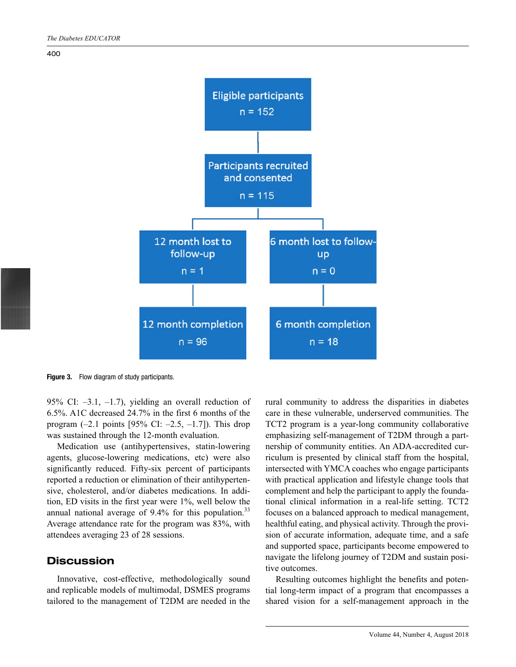



Figure 3. Flow diagram of study participants.

95% CI: –3.1, –1.7), yielding an overall reduction of 6.5%. A1C decreased 24.7% in the first 6 months of the program  $(-2.1 \text{ points } [95\% \text{ CI: } -2.5, -1.7]$ ). This drop was sustained through the 12-month evaluation.

Medication use (antihypertensives, statin-lowering agents, glucose-lowering medications, etc) were also significantly reduced. Fifty-six percent of participants reported a reduction or elimination of their antihypertensive, cholesterol, and/or diabetes medications. In addition, ED visits in the first year were 1%, well below the annual national average of  $9.4\%$  for this population.<sup>33</sup> Average attendance rate for the program was 83%, with attendees averaging 23 of 28 sessions.

#### **Discussion**

Innovative, cost-effective, methodologically sound and replicable models of multimodal, DSMES programs tailored to the management of T2DM are needed in the rural community to address the disparities in diabetes care in these vulnerable, underserved communities. The TCT2 program is a year-long community collaborative emphasizing self-management of T2DM through a partnership of community entities. An ADA-accredited curriculum is presented by clinical staff from the hospital, intersected with YMCA coaches who engage participants with practical application and lifestyle change tools that complement and help the participant to apply the foundational clinical information in a real-life setting. TCT2 focuses on a balanced approach to medical management, healthful eating, and physical activity. Through the provision of accurate information, adequate time, and a safe and supported space, participants become empowered to navigate the lifelong journey of T2DM and sustain positive outcomes.

Resulting outcomes highlight the benefits and potential long-term impact of a program that encompasses a shared vision for a self-management approach in the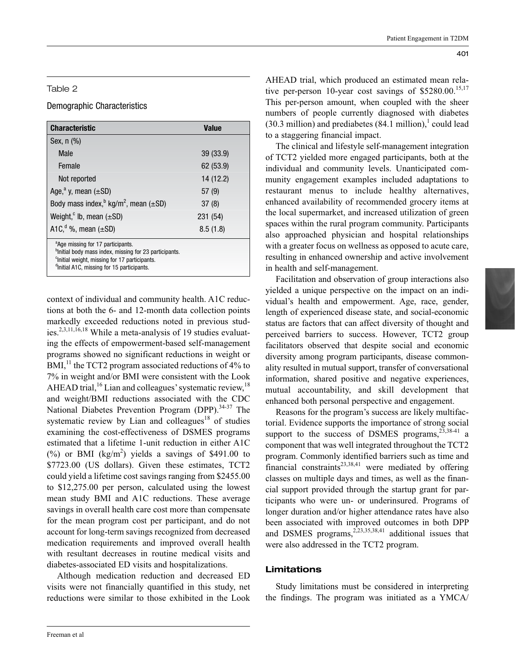#### Table 2

#### Demographic Characteristics

| <b>Characteristic</b>                                                                                                                                                                                                                      | <b>Value</b> |  |  |
|--------------------------------------------------------------------------------------------------------------------------------------------------------------------------------------------------------------------------------------------|--------------|--|--|
| Sex, n (%)                                                                                                                                                                                                                                 |              |  |  |
| Male                                                                                                                                                                                                                                       | 39 (33.9)    |  |  |
| Female                                                                                                                                                                                                                                     | 62 (53.9)    |  |  |
| Not reported                                                                                                                                                                                                                               | 14 (12.2)    |  |  |
| Age, <sup>a</sup> y, mean $(\pm SD)$                                                                                                                                                                                                       | 57(9)        |  |  |
| Body mass index, $\frac{b}{c}$ kg/m <sup>2</sup> , mean ( $\pm$ SD)                                                                                                                                                                        | 37(8)        |  |  |
| Weight, $\circ$ lb, mean ( $\pm$ SD)                                                                                                                                                                                                       | 231 (54)     |  |  |
| A1C, $d\%$ , mean $(\pm SD)$                                                                                                                                                                                                               | 8.5(1.8)     |  |  |
| <sup>a</sup> Age missing for 17 participants.<br><sup>b</sup> Initial body mass index, missing for 23 participants.<br><sup>c</sup> initial weight, missing for 17 participants.<br><sup>d</sup> Initial A1C, missing for 15 participants. |              |  |  |

context of individual and community health. A1C reductions at both the 6- and 12-month data collection points markedly exceeded reductions noted in previous studies.<sup>2,3,11,16,18</sup> While a meta-analysis of 19 studies evaluating the effects of empowerment-based self-management programs showed no significant reductions in weight or  $BMI<sub>1</sub><sup>11</sup>$  the TCT2 program associated reductions of 4% to 7% in weight and/or BMI were consistent with the Look AHEAD trial,  $^{16}$  Lian and colleagues' systematic review,  $^{18}$ and weight/BMI reductions associated with the CDC National Diabetes Prevention Program (DPP).<sup>34-37</sup> The systematic review by Lian and colleagues<sup>18</sup> of studies examining the cost-effectiveness of DSMES programs estimated that a lifetime 1-unit reduction in either A1C  $(\%)$  or BMI (kg/m<sup>2</sup>) yields a savings of \$491.00 to \$7723.00 (US dollars). Given these estimates, TCT2 could yield a lifetime cost savings ranging from \$2455.00 to \$12,275.00 per person, calculated using the lowest mean study BMI and A1C reductions. These average savings in overall health care cost more than compensate for the mean program cost per participant, and do not account for long-term savings recognized from decreased medication requirements and improved overall health with resultant decreases in routine medical visits and diabetes-associated ED visits and hospitalizations.

Although medication reduction and decreased ED visits were not financially quantified in this study, net reductions were similar to those exhibited in the Look AHEAD trial, which produced an estimated mean relative per-person 10-year cost savings of  $$5280.00$ .<sup>15,17</sup> This per-person amount, when coupled with the sheer numbers of people currently diagnosed with diabetes  $(30.3 \text{ million})$  and prediabetes  $(84.1 \text{ million})$ , could lead to a staggering financial impact.

The clinical and lifestyle self-management integration of TCT2 yielded more engaged participants, both at the individual and community levels. Unanticipated community engagement examples included adaptations to restaurant menus to include healthy alternatives, enhanced availability of recommended grocery items at the local supermarket, and increased utilization of green spaces within the rural program community. Participants also approached physician and hospital relationships with a greater focus on wellness as opposed to acute care, resulting in enhanced ownership and active involvement in health and self-management.

Facilitation and observation of group interactions also yielded a unique perspective on the impact on an individual's health and empowerment. Age, race, gender, length of experienced disease state, and social-economic status are factors that can affect diversity of thought and perceived barriers to success. However, TCT2 group facilitators observed that despite social and economic diversity among program participants, disease commonality resulted in mutual support, transfer of conversational information, shared positive and negative experiences, mutual accountability, and skill development that enhanced both personal perspective and engagement.

Reasons for the program's success are likely multifactorial. Evidence supports the importance of strong social support to the success of DSMES programs,  $^{23,38-41}$  a component that was well integrated throughout the TCT2 program. Commonly identified barriers such as time and financial constraints<sup>23,38,41</sup> were mediated by offering classes on multiple days and times, as well as the financial support provided through the startup grant for participants who were un- or underinsured. Programs of longer duration and/or higher attendance rates have also been associated with improved outcomes in both DPP and DSMES programs, $2,23,35,38,41$  additional issues that were also addressed in the TCT2 program.

#### Limitations

Study limitations must be considered in interpreting the findings. The program was initiated as a YMCA/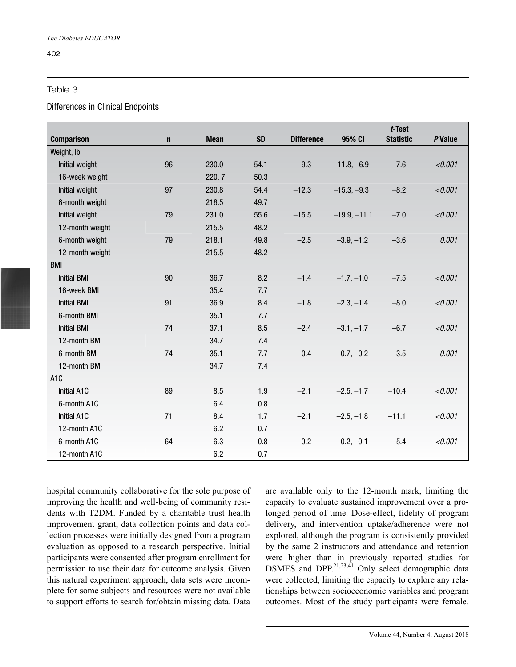#### Table 3

#### Differences in Clinical Endpoints

|                    |             |             |           |                   |                | $t$ -Test        |         |
|--------------------|-------------|-------------|-----------|-------------------|----------------|------------------|---------|
| <b>Comparison</b>  | $\mathbf n$ | <b>Mean</b> | <b>SD</b> | <b>Difference</b> | 95% CI         | <b>Statistic</b> | P Value |
| Weight, Ib         |             |             |           |                   |                |                  |         |
| Initial weight     | 96          | 230.0       | 54.1      | $-9.3$            | $-11.8, -6.9$  | $-7.6$           | < 0.001 |
| 16-week weight     |             | 220.7       | 50.3      |                   |                |                  |         |
| Initial weight     | 97          | 230.8       | 54.4      | $-12.3$           | $-15.3, -9.3$  | $-8.2$           | < 0.001 |
| 6-month weight     |             | 218.5       | 49.7      |                   |                |                  |         |
| Initial weight     | 79          | 231.0       | 55.6      | $-15.5$           | $-19.9, -11.1$ | $-7.0$           | < 0.001 |
| 12-month weight    |             | 215.5       | 48.2      |                   |                |                  |         |
| 6-month weight     | 79          | 218.1       | 49.8      | $-2.5$            | $-3.9, -1.2$   | $-3.6$           | 0.001   |
| 12-month weight    |             | 215.5       | 48.2      |                   |                |                  |         |
| <b>BMI</b>         |             |             |           |                   |                |                  |         |
| <b>Initial BMI</b> | 90          | 36.7        | 8.2       | $-1.4$            | $-1.7, -1.0$   | $-7.5$           | < 0.001 |
| 16-week BMI        |             | 35.4        | 7.7       |                   |                |                  |         |
| <b>Initial BMI</b> | 91          | 36.9        | 8.4       | $-1.8$            | $-2.3, -1.4$   | $-8.0$           | < 0.001 |
| 6-month BMI        |             | 35.1        | 7.7       |                   |                |                  |         |
| <b>Initial BMI</b> | 74          | 37.1        | 8.5       | $-2.4$            | $-3.1, -1.7$   | $-6.7$           | < 0.001 |
| 12-month BMI       |             | 34.7        | 7.4       |                   |                |                  |         |
| 6-month BMI        | 74          | 35.1        | 7.7       | $-0.4$            | $-0.7, -0.2$   | $-3.5$           | 0.001   |
| 12-month BMI       |             | 34.7        | 7.4       |                   |                |                  |         |
| A <sub>1</sub> C   |             |             |           |                   |                |                  |         |
| Initial A1C        | 89          | 8.5         | 1.9       | $-2.1$            | $-2.5, -1.7$   | $-10.4$          | < 0.001 |
| 6-month A1C        |             | 6.4         | 0.8       |                   |                |                  |         |
| Initial A1C        | 71          | 8.4         | 1.7       | $-2.1$            | $-2.5, -1.8$   | $-11.1$          | < 0.001 |
| 12-month A1C       |             | 6.2         | 0.7       |                   |                |                  |         |
| 6-month A1C        | 64          | 6.3         | 0.8       | $-0.2$            | $-0.2, -0.1$   | $-5.4$           | < 0.001 |
| 12-month A1C       |             | 6.2         | 0.7       |                   |                |                  |         |

hospital community collaborative for the sole purpose of improving the health and well-being of community residents with T2DM. Funded by a charitable trust health improvement grant, data collection points and data collection processes were initially designed from a program evaluation as opposed to a research perspective. Initial participants were consented after program enrollment for permission to use their data for outcome analysis. Given this natural experiment approach, data sets were incomplete for some subjects and resources were not available to support efforts to search for/obtain missing data. Data

are available only to the 12-month mark, limiting the capacity to evaluate sustained improvement over a prolonged period of time. Dose-effect, fidelity of program delivery, and intervention uptake/adherence were not explored, although the program is consistently provided by the same 2 instructors and attendance and retention were higher than in previously reported studies for DSMES and DPP. $^{21,23,41}$  Only select demographic data were collected, limiting the capacity to explore any relationships between socioeconomic variables and program outcomes. Most of the study participants were female.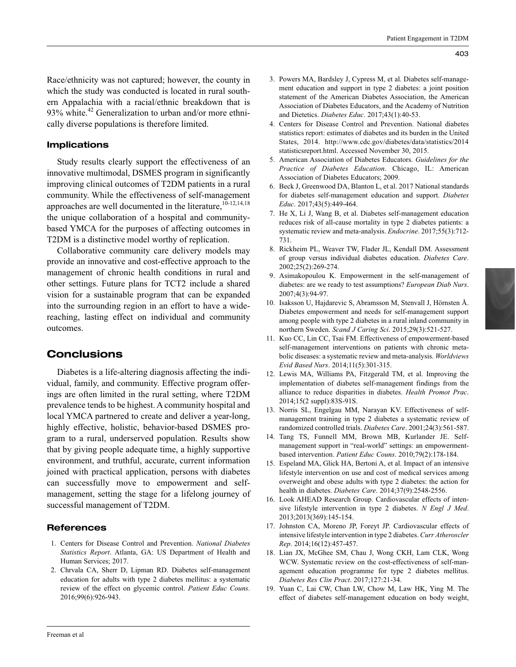Race/ethnicity was not captured; however, the county in which the study was conducted is located in rural southern Appalachia with a racial/ethnic breakdown that is 93% white.<sup>42</sup> Generalization to urban and/or more ethnically diverse populations is therefore limited.

#### Implications

Study results clearly support the effectiveness of an innovative multimodal, DSMES program in significantly improving clinical outcomes of T2DM patients in a rural community. While the effectiveness of self-management approaches are well documented in the literature,<sup>10-12,14,18</sup> the unique collaboration of a hospital and communitybased YMCA for the purposes of affecting outcomes in T2DM is a distinctive model worthy of replication.

Collaborative community care delivery models may provide an innovative and cost-effective approach to the management of chronic health conditions in rural and other settings. Future plans for TCT2 include a shared vision for a sustainable program that can be expanded into the surrounding region in an effort to have a widereaching, lasting effect on individual and community outcomes.

#### **Conclusions**

Diabetes is a life-altering diagnosis affecting the individual, family, and community. Effective program offerings are often limited in the rural setting, where T2DM prevalence tends to be highest. A community hospital and local YMCA partnered to create and deliver a year-long, highly effective, holistic, behavior-based DSMES program to a rural, underserved population. Results show that by giving people adequate time, a highly supportive environment, and truthful, accurate, current information joined with practical application, persons with diabetes can successfully move to empowerment and selfmanagement, setting the stage for a lifelong journey of successful management of T2DM.

#### **References**

- 1. Centers for Disease Control and Prevention. *National Diabetes Statistics Report*. Atlanta, GA: US Department of Health and Human Services; 2017.
- 2. Chrvala CA, Sherr D, Lipman RD. Diabetes self-management education for adults with type 2 diabetes mellitus: a systematic review of the effect on glycemic control. *Patient Educ Couns*. 2016;99(6):926-943.
- 3. Powers MA, Bardsley J, Cypress M, et al. Diabetes self-management education and support in type 2 diabetes: a joint position statement of the American Diabetes Association, the American Association of Diabetes Educators, and the Academy of Nutrition and Dietetics. *Diabetes Educ*. 2017;43(1):40-53.
- 4. Centers for Disease Control and Prevention. National diabetes statistics report: estimates of diabetes and its burden in the United States, 2014. http://www.cdc.gov/diabetes/data/statistics/2014 statisticsreport.html. Accessed November 30, 2015.
- 5. American Association of Diabetes Educators. *Guidelines for the Practice of Diabetes Education*. Chicago, IL: American Association of Diabetes Educators; 2009.
- 6. Beck J, Greenwood DA, Blanton L, et al. 2017 National standards for diabetes self-management education and support. *Diabetes Educ*. 2017;43(5):449-464.
- 7. He X, Li J, Wang B, et al. Diabetes self-management education reduces risk of all-cause mortality in type 2 diabetes patients: a systematic review and meta-analysis. *Endocrine*. 2017;55(3):712- 731.
- 8. Rickheim PL, Weaver TW, Flader JL, Kendall DM. Assessment of group versus individual diabetes education. *Diabetes Care*. 2002;25(2):269-274.
- 9. Asimakopoulou K. Empowerment in the self-management of diabetes: are we ready to test assumptions? *European Diab Nurs*. 2007;4(3):94-97.
- 10. Isaksson U, Hajdarevic S, Abramsson M, Stenvall J, Hörnsten Å. Diabetes empowerment and needs for self-management support among people with type 2 diabetes in a rural inland community in northern Sweden. *Scand J Caring Sci*. 2015;29(3):521-527.
- 11. Kuo CC, Lin CC, Tsai FM. Effectiveness of empowerment-based self-management interventions on patients with chronic metabolic diseases: a systematic review and meta-analysis. *Worldviews Evid Based Nurs*. 2014;11(5):301-315.
- 12. Lewis MA, Williams PA, Fitzgerald TM, et al. Improving the implementation of diabetes self-management findings from the alliance to reduce disparities in diabetes. *Health Promot Prac*. 2014;15(2 suppl):83S-91S.
- 13. Norris SL, Engelgau MM, Narayan KV. Effectiveness of selfmanagement training in type 2 diabetes a systematic review of randomized controlled trials. *Diabetes Care*. 2001;24(3):561-587.
- 14. Tang TS, Funnell MM, Brown MB, Kurlander JE. Selfmanagement support in "real-world" settings: an empowermentbased intervention. *Patient Educ Couns*. 2010;79(2):178-184.
- 15. Espeland MA, Glick HA, Bertoni A, et al. Impact of an intensive lifestyle intervention on use and cost of medical services among overweight and obese adults with type 2 diabetes: the action for health in diabetes. *Diabetes Care*. 2014;37(9):2548-2556.
- 16. Look AHEAD Research Group. Cardiovascular effects of intensive lifestyle intervention in type 2 diabetes. *N Engl J Med*. 2013;2013(369):145-154.
- 17. Johnston CA, Moreno JP, Foreyt JP. Cardiovascular effects of intensive lifestyle intervention in type 2 diabetes. *Curr Atheroscler Rep*. 2014;16(12):457-457.
- 18. Lian JX, McGhee SM, Chau J, Wong CKH, Lam CLK, Wong WCW. Systematic review on the cost-effectiveness of self-management education programme for type 2 diabetes mellitus. *Diabetes Res Clin Pract*. 2017;127:21-34.
- 19. Yuan C, Lai CW, Chan LW, Chow M, Law HK, Ying M. The effect of diabetes self-management education on body weight,